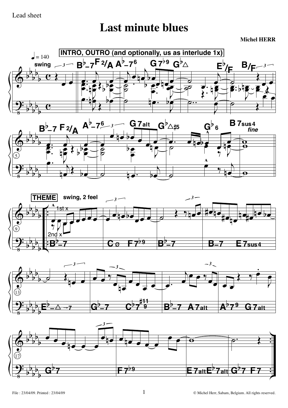## Lead sheet

## **Last minute blues**

**Michel HERR**